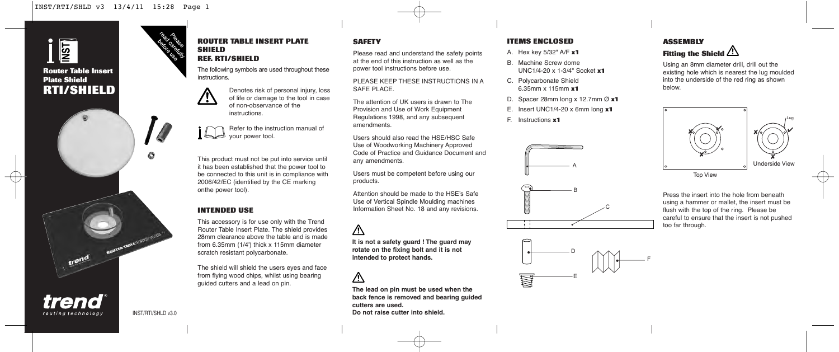# <u>Isti</u> **Router Table Insert Plate Shield RTI/SHIELD**

trend

trend routing technology

#### **ROUTER TABLE INSERT PLATE SHIELD REF. RTI/SHIELD**

The following symbols are used throughout these instructions.



Refer to the instruction manual of your power tool.

This product must not be put into service until it has been established that the power tool to be connected to this unit is in compliance with 2006/42/EC (identified by the CE marking onthe power tool).

#### **INTENDED USE**

This accessory is for use only with the Trend Router Table Insert Plate. The shield provides 28mm clearance above the table and is made from 6.35mm (1/4') thick x 115mm diameter scratch resistant polycarbonate.

The shield will shield the users eyes and face from flying wood chips, whilst using bearing guided cutters and a lead on pin.

#### **SAFETY**

Please read and understand the safety points at the end of this instruction as well as the power tool instructions before use.

PLEASE KEEP THESE INSTRUCTIONS IN A SAFE PLACE.

The attention of UK users is drawn to The Provision and Use of Work Equipment Regulations 1998, and any subsequent amendments.

Users should also read the HSE/HSC Safe Use of Woodworking Machinery Approved Code of Practice and Guidance Document and any amendments.

Users must be competent before using our products.

Attention should be made to the HSE's Safe Use of Vertical Spindle Moulding machines Information Sheet No. 18 and any revisions.

## 八

**It is not a safety guard ! The guard may rotate on the fixing bolt and it is not intended to protect hands.**

## $\bigwedge$

**The lead on pin must be used when the back fence is removed and bearing guided cutters are used. Do not raise cutter into shield.**

### **ITEMS ENCLOSED**

- A. Hex key 5/32" A/F **x1**
- B. Machine Screw dome UNC1/4-20 x 1-3/4" Socket **x1**
- C. Polycarbonate Shield 6.35mm x 115mm **x1**
- D. Spacer 28mm long x 12.7mm Ø **x1**
- E. Insert UNC1/4-20 x 6mm long **x1**
- F. Instructions **x1**





Using an 8mm diameter drill, drill out the existing hole which is nearest the lug moulded into the underside of the red ring as shown below.

Lug



Top View

Press the insert into the hole from beneath using a hammer or mallet, the insert must be flush with the top of the ring. Please be careful to ensure that the insert is not pushed too far through.



ROUTER TABLE (TRIVE) IV.

 $\bullet$